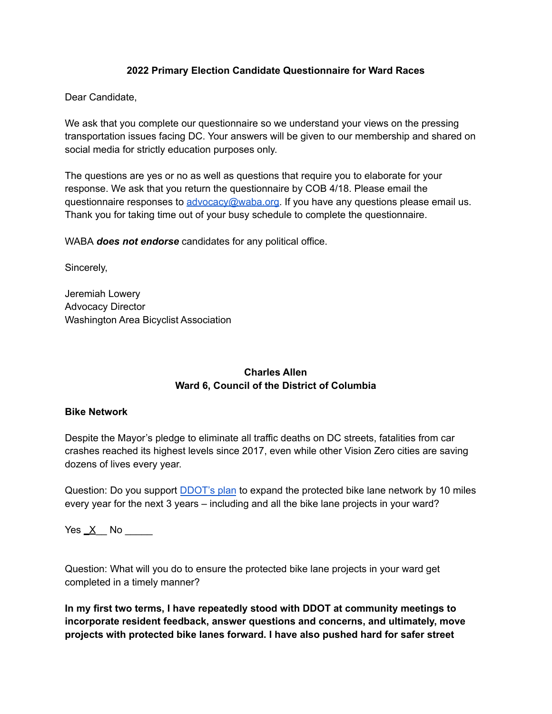#### **2022 Primary Election Candidate Questionnaire for Ward Races**

Dear Candidate,

We ask that you complete our questionnaire so we understand your views on the pressing transportation issues facing DC. Your answers will be given to our membership and shared on social media for strictly education purposes only.

The questions are yes or no as well as questions that require you to elaborate for your response. We ask that you return the questionnaire by COB 4/18. Please email the questionnaire responses to [advocacy@waba.org.](mailto:jeremiah.lowery@waba.org) If you have any questions please email us. Thank you for taking time out of your busy schedule to complete the questionnaire.

WABA *does not endorse* candidates for any political office.

Sincerely,

Jeremiah Lowery Advocacy Director Washington Area Bicyclist Association

### **Charles Allen Ward 6, Council of the District of Columbia**

#### **Bike Network**

Despite the Mayor's pledge to eliminate all traffic deaths on DC streets, fatalities from car crashes reached its highest levels since 2017, even while other Vision Zero cities are saving dozens of lives every year.

Question: Do you support [DDOT's plan](https://ddot.dc.gov/page/bicycle-lanes) to expand the protected bike lane network by 10 miles every year for the next 3 years – including and all the bike lane projects in your ward?

Yes  $X$  No  $\_\_\_\_\_\_\$ 

Question: What will you do to ensure the protected bike lane projects in your ward get completed in a timely manner?

**In my first two terms, I have repeatedly stood with DDOT at community meetings to incorporate resident feedback, answer questions and concerns, and ultimately, move projects with protected bike lanes forward. I have also pushed hard for safer street**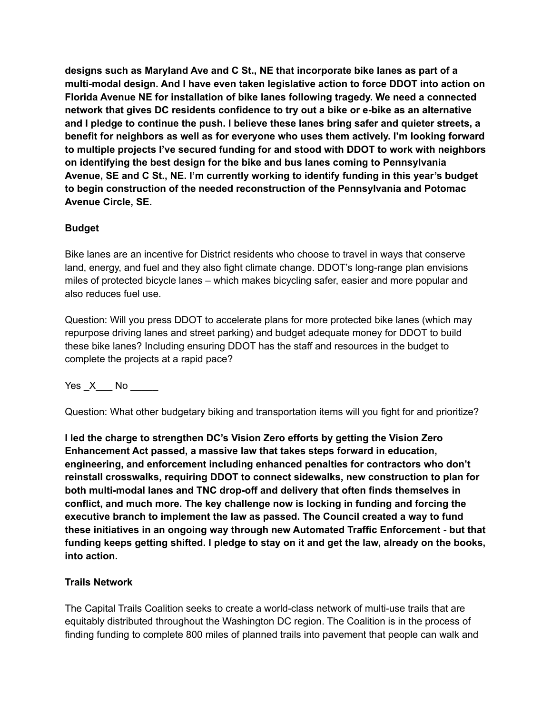**designs such as Maryland Ave and C St., NE that incorporate bike lanes as part of a multi-modal design. And I have even taken legislative action to force DDOT into action on Florida Avenue NE for installation of bike lanes following tragedy. We need a connected network that gives DC residents confidence to try out a bike or e-bike as an alternative and I pledge to continue the push. I believe these lanes bring safer and quieter streets, a benefit for neighbors as well as for everyone who uses them actively. I'm looking forward to multiple projects I've secured funding for and stood with DDOT to work with neighbors on identifying the best design for the bike and bus lanes coming to Pennsylvania Avenue, SE and C St., NE. I'm currently working to identify funding in this year's budget to begin construction of the needed reconstruction of the Pennsylvania and Potomac Avenue Circle, SE.**

## **Budget**

Bike lanes are an incentive for District residents who choose to travel in ways that conserve land, energy, and fuel and they also fight climate change. DDOT's long-range plan envisions miles of protected bicycle lanes – which makes bicycling safer, easier and more popular and also reduces fuel use.

Question: Will you press DDOT to accelerate plans for more protected bike lanes (which may repurpose driving lanes and street parking) and budget adequate money for DDOT to build these bike lanes? Including ensuring DDOT has the staff and resources in the budget to complete the projects at a rapid pace?

Yes \_X\_\_\_ No \_\_\_\_\_

Question: What other budgetary biking and transportation items will you fight for and prioritize?

**I led the charge to strengthen DC's Vision Zero efforts by getting the Vision Zero Enhancement Act passed, a massive law that takes steps forward in education, engineering, and enforcement including enhanced penalties for contractors who don't reinstall crosswalks, requiring DDOT to connect sidewalks, new construction to plan for both multi-modal lanes and TNC drop-off and delivery that often finds themselves in conflict, and much more. The key challenge now is locking in funding and forcing the executive branch to implement the law as passed. The Council created a way to fund these initiatives in an ongoing way through new Automated Traffic Enforcement - but that funding keeps getting shifted. I pledge to stay on it and get the law, already on the books, into action.**

### **Trails Network**

The Capital Trails Coalition seeks to create a world-class network of multi-use trails that are equitably distributed throughout the Washington DC region. The Coalition is in the process of finding funding to complete 800 miles of planned trails into pavement that people can walk and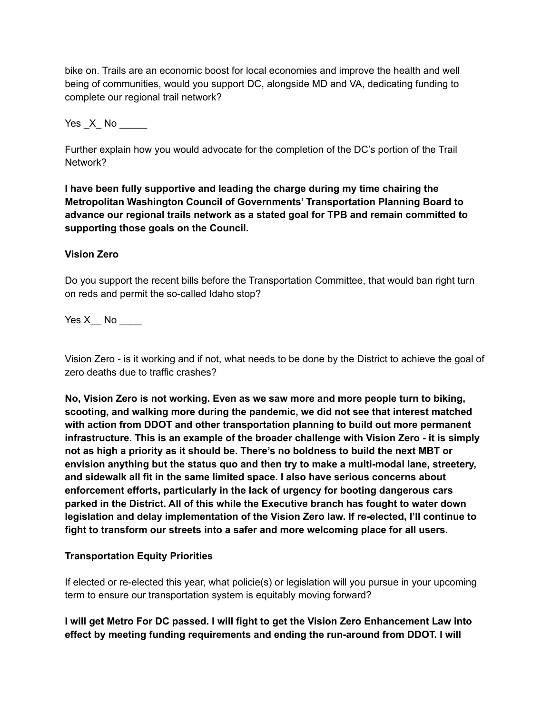bike on. Trails are an economic boost for local economies and improve the health and well being of communities, would you support DC, alongside MD and VA, dedicating funding to complete our regional trail network?

Yes X No  $\blacksquare$ 

Further explain how you would advocate for the completion of the DC's portion of the Trail Network?

**I have been fully supportive and leading the charge during my time chairing the Metropolitan Washington Council of Governments' Transportation Planning Board to advance our regional trails network as a stated goal for TPB and remain committed to supporting those goals on the Council.**

## **Vision Zero**

Do you support the recent bills before the Transportation Committee, that would ban right turn on reds and permit the so-called Idaho stop?

Yes X  $\blacksquare$  No  $\blacksquare$ 

Vision Zero - is it working and if not, what needs to be done by the District to achieve the goal of zero deaths due to traffic crashes?

**No, Vision Zero is not working. Even as we saw more and more people turn to biking, scooting, and walking more during the pandemic, we did not see that interest matched with action from DDOT and other transportation planning to build out more permanent infrastructure. This is an example of the broader challenge with Vision Zero - it is simply not as high a priority as it should be. There's no boldness to build the next MBT or envision anything but the status quo and then try to make a multi-modal lane, streetery, and sidewalk all fit in the same limited space. I also have serious concerns about enforcement efforts, particularly in the lack of urgency for booting dangerous cars parked in the District. All of this while the Executive branch has fought to water down legislation and delay implementation of the Vision Zero law. If re-elected, I'll continue to fight to transform our streets into a safer and more welcoming place for all users.**

# **Transportation Equity Priorities**

If elected or re-elected this year, what policie(s) or legislation will you pursue in your upcoming term to ensure our transportation system is equitably moving forward?

# **I will get Metro For DC passed. I will fight to get the Vision Zero Enhancement Law into effect by meeting funding requirements and ending the run-around from DDOT. I will**